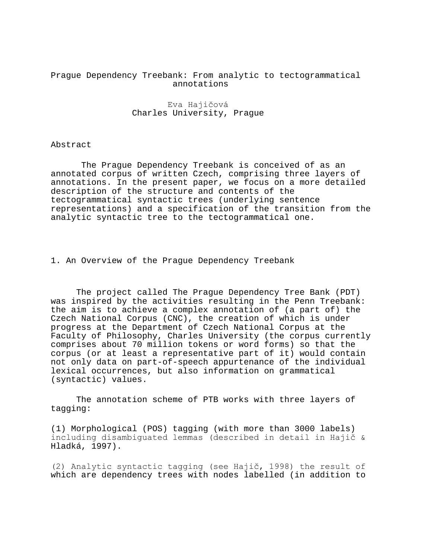## Prague Dependency Treebank: From analytic to tectogrammatical annotations

## Eva Hajičová Charles University, Prague

## Abstract

The Prague Dependency Treebank is conceived of as an annotated corpus of written Czech, comprising three layers of annotations. In the present paper, we focus on a more detailed description of the structure and contents of the tectogrammatical syntactic trees (underlying sentence representations) and a specification of the transition from the analytic syntactic tree to the tectogrammatical one.

1. An Overview of the Prague Dependency Treebank

The project called The Prague Dependency Tree Bank (PDT) was inspired by the activities resulting in the Penn Treebank: the aim is to achieve a complex annotation of (a part of) the Czech National Corpus (CNC), the creation of which is under progress at the Department of Czech National Corpus at the Faculty of Philosophy, Charles University (the corpus currently comprises about 70 million tokens or word forms) so that the corpus (or at least a representative part of it) would contain not only data on part-of-speech appurtenance of the individual lexical occurrences, but also information on grammatical (syntactic) values.

The annotation scheme of PTB works with three layers of tagging:

(1) Morphological (POS) tagging (with more than 3000 labels) including disambiguated lemmas (described in detail in Hajič & Hladká, 1997).

(2) Analytic syntactic tagging (see Hajič, 1998) the result of which are dependency trees with nodes labelled (in addition to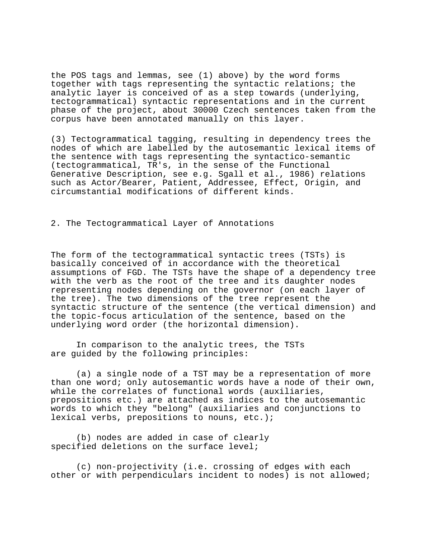the POS tags and lemmas, see (1) above) by the word forms together with tags representing the syntactic relations; the analytic layer is conceived of as a step towards (underlying, tectogrammatical) syntactic representations and in the current phase of the project, about 30000 Czech sentences taken from the corpus have been annotated manually on this layer.

(3) Tectogrammatical tagging, resulting in dependency trees the nodes of which are labelled by the autosemantic lexical items of the sentence with tags representing the syntactico-semantic (tectogrammatical, TR's, in the sense of the Functional Generative Description, see e.g. Sgall et al., 1986) relations such as Actor/Bearer, Patient, Addressee, Effect, Origin, and circumstantial modifications of different kinds.

## 2. The Tectogrammatical Layer of Annotations

The form of the tectogrammatical syntactic trees (TSTs) is basically conceived of in accordance with the theoretical assumptions of FGD. The TSTs have the shape of a dependency tree with the verb as the root of the tree and its daughter nodes representing nodes depending on the governor (on each layer of the tree). The two dimensions of the tree represent the syntactic structure of the sentence (the vertical dimension) and the topic-focus articulation of the sentence, based on the underlying word order (the horizontal dimension).

In comparison to the analytic trees, the TSTs are guided by the following principles:

(a) a single node of a TST may be a representation of more than one word; only autosemantic words have a node of their own, while the correlates of functional words (auxiliaries, prepositions etc.) are attached as indices to the autosemantic words to which they "belong" (auxiliaries and conjunctions to lexical verbs, prepositions to nouns, etc.);

(b) nodes are added in case of clearly specified deletions on the surface level;

(c) non-projectivity (i.e. crossing of edges with each other or with perpendiculars incident to nodes) is not allowed;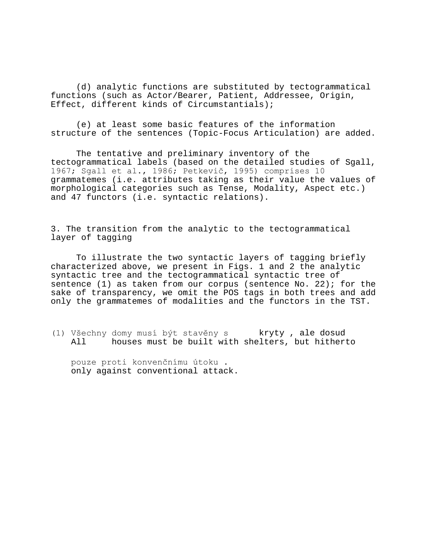(d) analytic functions are substituted by tectogrammatical functions (such as Actor/Bearer, Patient, Addressee, Origin, Effect, different kinds of Circumstantials);

(e) at least some basic features of the information structure of the sentences (Topic-Focus Articulation) are added.

The tentative and preliminary inventory of the tectogrammatical labels (based on the detailed studies of Sgall, 1967; Sgall et al., 1986; Petkevič, 1995) comprises 10 grammatemes (i.e. attributes taking as their value the values of morphological categories such as Tense, Modality, Aspect etc.) and 47 functors (i.e. syntactic relations).

3. The transition from the analytic to the tectogrammatical layer of tagging

To illustrate the two syntactic layers of tagging briefly characterized above, we present in Figs. 1 and 2 the analytic syntactic tree and the tectogrammatical syntactic tree of sentence (1) as taken from our corpus (sentence No. 22); for the sake of transparency, we omit the POS tags in both trees and add only the grammatemes of modalities and the functors in the TST.

(1) Všechny domy musí být stavěny s kryty , ale dosud<br>All bouses must be built with shelters, but hithert houses must be built with shelters, but hitherto

pouze proti konvenčnímu útoku. only against conventional attack.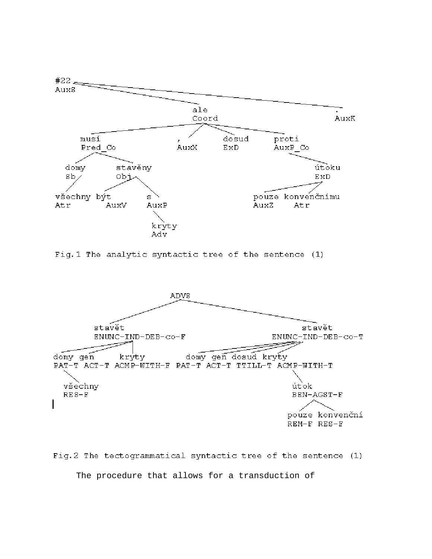

Fig. 1 The analytic syntactic tree of the sentence (1)



Fig.2 The tectogrammatical syntactic tree of the sentence (1) The procedure that allows for a transduction of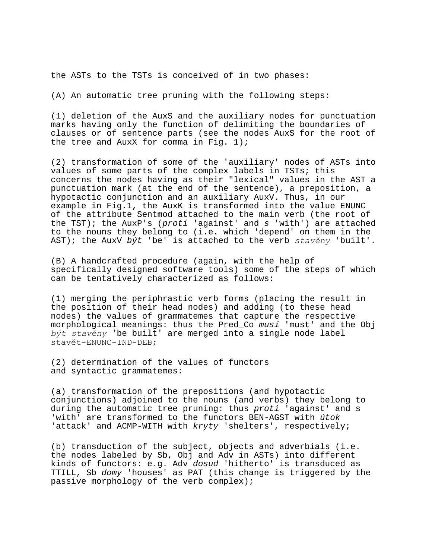the ASTs to the TSTs is conceived of in two phases:

(A) An automatic tree pruning with the following steps:

(1) deletion of the AuxS and the auxiliary nodes for punctuation marks having only the function of delimiting the boundaries of clauses or of sentence parts (see the nodes AuxS for the root of the tree and AuxX for comma in Fig.  $1$ );

(2) transformation of some of the 'auxiliary' nodes of ASTs into values of some parts of the complex labels in TSTs; this concerns the nodes having as their "lexical" values in the AST a punctuation mark (at the end of the sentence), a preposition, a hypotactic conjunction and an auxiliary AuxV. Thus, in our example in Fig.1, the AuxK is transformed into the value ENUNC of the attribute Sentmod attached to the main verb (the root of the TST); the AuxP's ( $proti$  'against' and  $s$  'with') are attached to the nouns they belong to (i.e. which 'depend' on them in the AST); the AuxV být 'be' is attached to the verb *stavěny* 'built'.

(B) A handcrafted procedure (again, with the help of specifically designed software tools) some of the steps of which can be tentatively characterized as follows:

(1) merging the periphrastic verb forms (placing the result in the position of their head nodes) and adding (to these head nodes) the values of grammatemes that capture the respective morphological meanings: thus the Pred\_Co musí 'must' and the Obj *b˝t stavěny* 'be built' are merged into a single node label stavět-ENUNC-IND-DEB;

(2) determination of the values of functors and syntactic grammatemes:

(a) transformation of the prepositions (and hypotactic conjunctions) adjoined to the nouns (and verbs) they belong to during the automatic tree pruning: thus proti 'against' and s 'with' are transformed to the functors BEN-AGST with útok 'attack' and ACMP-WITH with kryty 'shelters', respectively;

(b) transduction of the subject, objects and adverbials (i.e. the nodes labeled by Sb, Obj and Adv in ASTs) into different kinds of functors: e.g. Adv dosud 'hitherto' is transduced as TTILL, Sb domy 'houses' as PAT (this change is triggered by the passive morphology of the verb complex);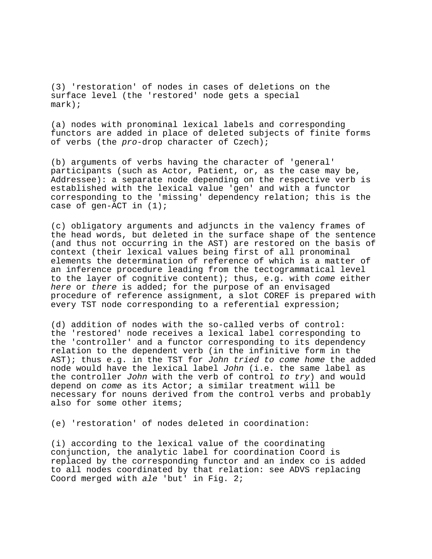(3) 'restoration' of nodes in cases of deletions on the surface level (the 'restored' node gets a special mark);

(a) nodes with pronominal lexical labels and corresponding functors are added in place of deleted subjects of finite forms of verbs (the pro-drop character of Czech);

(b) arguments of verbs having the character of 'general' participants (such as Actor, Patient, or, as the case may be, Addressee): a separate node depending on the respective verb is established with the lexical value 'gen' and with a functor corresponding to the 'missing' dependency relation; this is the case of gen-ACT in (1);

(c) obligatory arguments and adjuncts in the valency frames of the head words, but deleted in the surface shape of the sentence (and thus not occurring in the AST) are restored on the basis of context (their lexical values being first of all pronominal elements the determination of reference of which is a matter of an inference procedure leading from the tectogrammatical level to the layer of cognitive content); thus, e.g. with come either here or there is added; for the purpose of an envisaged procedure of reference assignment, a slot COREF is prepared with every TST node corresponding to a referential expression;

(d) addition of nodes with the so-called verbs of control: the 'restored' node receives a lexical label corresponding to the 'controller' and a functor corresponding to its dependency relation to the dependent verb (in the infinitive form in the AST); thus e.g. in the TST for John tried to come home the added node would have the lexical label John (i.e. the same label as the controller John with the verb of control to try) and would depend on come as its Actor; a similar treatment will be necessary for nouns derived from the control verbs and probably also for some other items;

(e) 'restoration' of nodes deleted in coordination:

(i) according to the lexical value of the coordinating conjunction, the analytic label for coordination Coord is replaced by the corresponding functor and an index co is added to all nodes coordinated by that relation: see ADVS replacing Coord merged with ale 'but' in Fig. 2;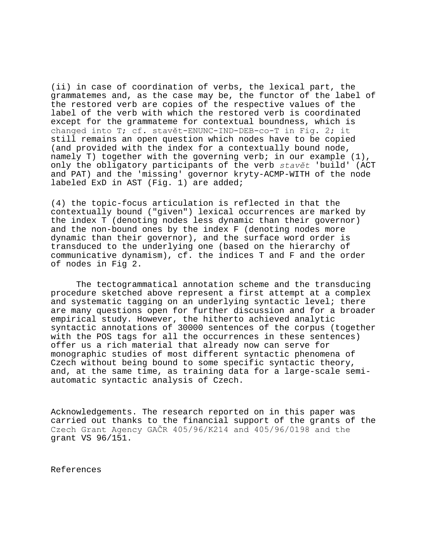(ii) in case of coordination of verbs, the lexical part, the grammatemes and, as the case may be, the functor of the label of the restored verb are copies of the respective values of the label of the verb with which the restored verb is coordinated except for the grammateme for contextual boundness, which is changed into T; cf. stavět-ENUNC-IND-DEB-co-T in Fig. 2; it still remains an open question which nodes have to be copied (and provided with the index for a contextually bound node, namely T) together with the governing verb; in our example (1), only the obligatory participants of the verb *stavět* 'build' (ACT and PAT) and the 'missing' governor kryty-ACMP-WITH of the node labeled ExD in AST (Fig. 1) are added;

(4) the topic-focus articulation is reflected in that the contextually bound ("given") lexical occurrences are marked by the index T (denoting nodes less dynamic than their governor) and the non-bound ones by the index F (denoting nodes more dynamic than their governor), and the surface word order is transduced to the underlying one (based on the hierarchy of communicative dynamism), cf. the indices T and F and the order of nodes in Fig 2.

The tectogrammatical annotation scheme and the transducing procedure sketched above represent a first attempt at a complex and systematic tagging on an underlying syntactic level; there are many questions open for further discussion and for a broader empirical study. However, the hitherto achieved analytic syntactic annotations of 30000 sentences of the corpus (together with the POS tags for all the occurrences in these sentences) offer us a rich material that already now can serve for monographic studies of most different syntactic phenomena of Czech without being bound to some specific syntactic theory, and, at the same time, as training data for a large-scale semiautomatic syntactic analysis of Czech.

Acknowledgements. The research reported on in this paper was carried out thanks to the financial support of the grants of the Czech Grant Agency GAČR 405/96/K214 and 405/96/0198 and the grant VS 96/151.

References